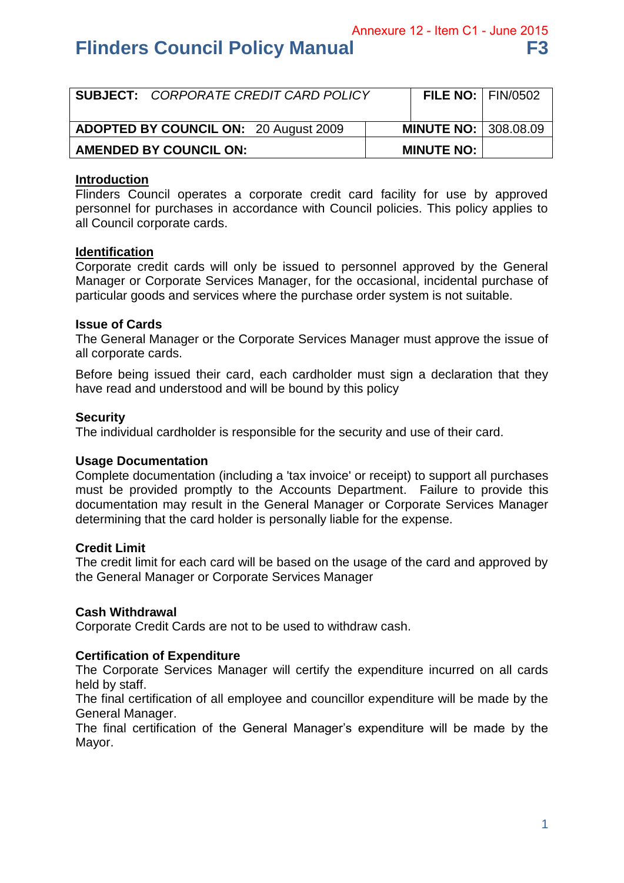Annexure 12 - Item C1 - June 2015

# **Flinders Council Policy Manual F3 64 F3**

| <b>SUBJECT: CORPORATE CREDIT CARD POLICY</b> | FILE NO: $ $ FIN/0502       |  |
|----------------------------------------------|-----------------------------|--|
| <b>ADOPTED BY COUNCIL ON: 20 August 2009</b> | <b>MINUTE NO: 308.08.09</b> |  |
| <b>AMENDED BY COUNCIL ON:</b>                | <b>MINUTE NO:</b>           |  |

## **Introduction**

Flinders Council operates a corporate credit card facility for use by approved personnel for purchases in accordance with Council policies. This policy applies to all Council corporate cards.

## **Identification**

Corporate credit cards will only be issued to personnel approved by the General Manager or Corporate Services Manager, for the occasional, incidental purchase of particular goods and services where the purchase order system is not suitable.

## **Issue of Cards**

The General Manager or the Corporate Services Manager must approve the issue of all corporate cards.

Before being issued their card, each cardholder must sign a declaration that they have read and understood and will be bound by this policy

## **Security**

The individual cardholder is responsible for the security and use of their card.

#### **Usage Documentation**

Complete documentation (including a 'tax invoice' or receipt) to support all purchases must be provided promptly to the Accounts Department. Failure to provide this documentation may result in the General Manager or Corporate Services Manager determining that the card holder is personally liable for the expense.

#### **Credit Limit**

The credit limit for each card will be based on the usage of the card and approved by the General Manager or Corporate Services Manager

#### **Cash Withdrawal**

Corporate Credit Cards are not to be used to withdraw cash.

## **Certification of Expenditure**

The Corporate Services Manager will certify the expenditure incurred on all cards held by staff.

The final certification of all employee and councillor expenditure will be made by the General Manager.

The final certification of the General Manager's expenditure will be made by the Mayor.